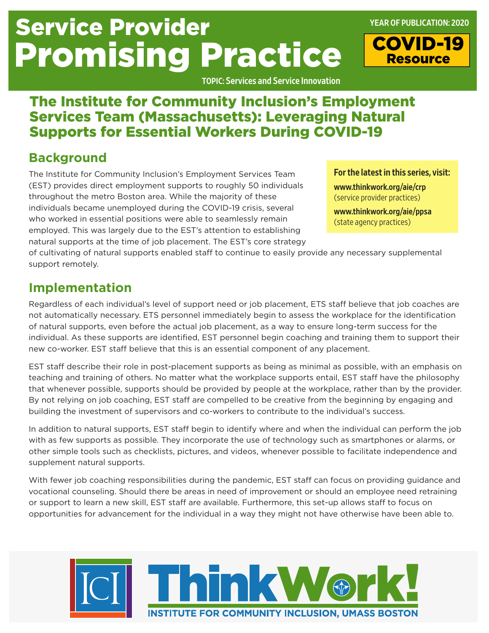# Service Provider Promising Practice

TOPIC: Services and Service Innovation

# The Institute for Community Inclusion's Employment Services Team (Massachusetts): Leveraging Natural Supports for Essential Workers During COVID-19

# **Background**

The Institute for Community Inclusion's Employment Services Team (EST) provides direct employment supports to roughly 50 individuals throughout the metro Boston area. While the majority of these individuals became unemployed during the COVID-19 crisis, several who worked in essential positions were able to seamlessly remain employed. This was largely due to the EST's attention to establishing natural supports at the time of job placement. The EST's core strategy For the latest in this series, visit:

YEAR OF PUBLICATION: 2020

COVID-19 **Resource** 

[www.thinkwork.org/aie/crp](http://www.thinkwork.org/aie/crp) (service provider practices)

[www.thinkwork.org/aie/ppsa](http://www.thinkwork.org/aie/ppsa)  (state agency practices)

of cultivating of natural supports enabled staff to continue to easily provide any necessary supplemental support remotely.

### **Implementation**

Regardless of each individual's level of support need or job placement, ETS staff believe that job coaches are not automatically necessary. ETS personnel immediately begin to assess the workplace for the identification of natural supports, even before the actual job placement, as a way to ensure long-term success for the individual. As these supports are identified, EST personnel begin coaching and training them to support their new co-worker. EST staff believe that this is an essential component of any placement.

EST staff describe their role in post-placement supports as being as minimal as possible, with an emphasis on teaching and training of others. No matter what the workplace supports entail, EST staff have the philosophy that whenever possible, supports should be provided by people at the workplace, rather than by the provider. By not relying on job coaching, EST staff are compelled to be creative from the beginning by engaging and building the investment of supervisors and co-workers to contribute to the individual's success.

In addition to natural supports, EST staff begin to identify where and when the individual can perform the job with as few supports as possible. They incorporate the use of technology such as smartphones or alarms, or other simple tools such as checklists, pictures, and videos, whenever possible to facilitate independence and supplement natural supports.

With fewer job coaching responsibilities during the pandemic, EST staff can focus on providing guidance and vocational counseling. Should there be areas in need of improvement or should an employee need retraining or support to learn a new skill, EST staff are available. Furthermore, this set-up allows staff to focus on opportunities for advancement for the individual in a way they might not have otherwise have been able to.